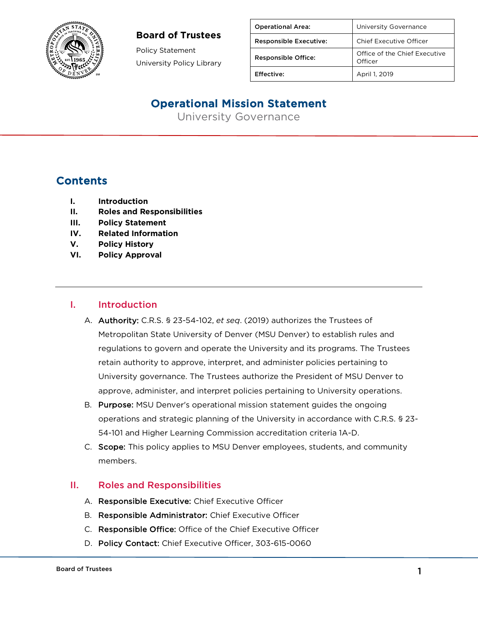Policy Statement University Policy Library

| <b>Operational Area:</b>      | University Governance                    |
|-------------------------------|------------------------------------------|
| <b>Responsible Executive:</b> | Chief Executive Officer                  |
| <b>Responsible Office:</b>    | Office of the Chief Executive<br>Officer |
| Effective:                    | April 1, 2019                            |

# Operational Mission Statement

University Governance

# **Contents**

- **I. Introduction**
- **II. Roles and Responsibilities**
- **III. Policy Statement**
- **IV. Related Information**
- **V. Policy History**
- **VI. Policy Approval**

#### I. Introduction

- A. Authority: C.R.S. § 23-54-102, *et seq*. (2019) authorizes the Trustees of Metropolitan State University of Denver (MSU Denver) to establish rules and regulations to govern and operate the University and its programs. The Trustees retain authority to approve, interpret, and administer policies pertaining to University governance. The Trustees authorize the President of MSU Denver to approve, administer, and interpret policies pertaining to University operations.
- B. Purpose: MSU Denver's operational mission statement guides the ongoing operations and strategic planning of the University in accordance with C.R.S. § 23- 54-101 and Higher Learning Commission accreditation criteria 1A-D.
- C. Scope: This policy applies to MSU Denver employees, students, and community members.

#### II. Roles and Responsibilities

- A. Responsible Executive: Chief Executive Officer
- B. Responsible Administrator: Chief Executive Officer
- C. Responsible Office: Office of the Chief Executive Officer
- D. Policy Contact: Chief Executive Officer, 303-615-0060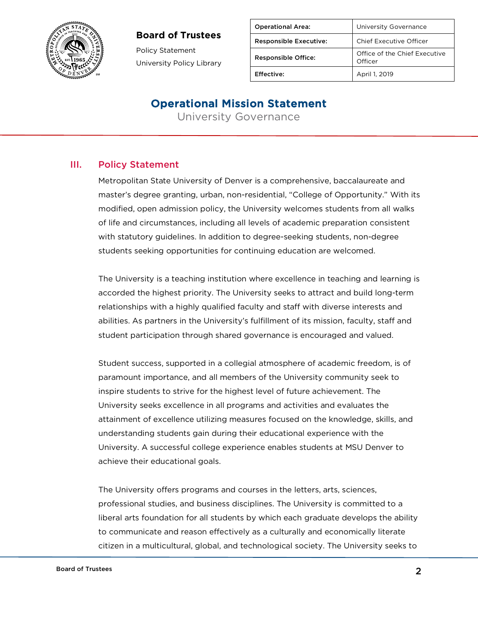

Policy Statement University Policy Library

| <b>Operational Area:</b>      | University Governance                    |
|-------------------------------|------------------------------------------|
| <b>Responsible Executive:</b> | <b>Chief Executive Officer</b>           |
| <b>Responsible Office:</b>    | Office of the Chief Executive<br>Officer |
| <b>Effective:</b>             | April 1, 2019                            |

## Operational Mission Statement

University Governance

### III. Policy Statement

Metropolitan State University of Denver is a comprehensive, baccalaureate and master's degree granting, urban, non-residential, "College of Opportunity." With its modified, open admission policy, the University welcomes students from all walks of life and circumstances, including all levels of academic preparation consistent with statutory guidelines. In addition to degree-seeking students, non-degree students seeking opportunities for continuing education are welcomed.

The University is a teaching institution where excellence in teaching and learning is accorded the highest priority. The University seeks to attract and build long-term relationships with a highly qualified faculty and staff with diverse interests and abilities. As partners in the University's fulfillment of its mission, faculty, staff and student participation through shared governance is encouraged and valued.

Student success, supported in a collegial atmosphere of academic freedom, is of paramount importance, and all members of the University community seek to inspire students to strive for the highest level of future achievement. The University seeks excellence in all programs and activities and evaluates the attainment of excellence utilizing measures focused on the knowledge, skills, and understanding students gain during their educational experience with the University. A successful college experience enables students at MSU Denver to achieve their educational goals.

The University offers programs and courses in the letters, arts, sciences, professional studies, and business disciplines. The University is committed to a liberal arts foundation for all students by which each graduate develops the ability to communicate and reason effectively as a culturally and economically literate citizen in a multicultural, global, and technological society. The University seeks to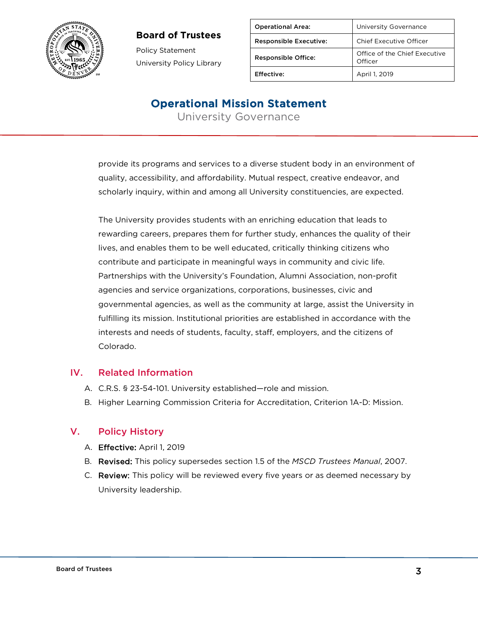

Policy Statement University Policy Library

| <b>Operational Area:</b>      | University Governance                    |
|-------------------------------|------------------------------------------|
| <b>Responsible Executive:</b> | Chief Executive Officer                  |
| <b>Responsible Office:</b>    | Office of the Chief Executive<br>Officer |
| Effective:                    | April 1, 2019                            |

## Operational Mission Statement

University Governance

provide its programs and services to a diverse student body in an environment of quality, accessibility, and affordability. Mutual respect, creative endeavor, and scholarly inquiry, within and among all University constituencies, are expected.

The University provides students with an enriching education that leads to rewarding careers, prepares them for further study, enhances the quality of their lives, and enables them to be well educated, critically thinking citizens who contribute and participate in meaningful ways in community and civic life. Partnerships with the University's Foundation, Alumni Association, non-profit agencies and service organizations, corporations, businesses, civic and governmental agencies, as well as the community at large, assist the University in fulfilling its mission. Institutional priorities are established in accordance with the interests and needs of students, faculty, staff, employers, and the citizens of Colorado.

### IV. Related Information

- A. C.R.S. § 23-54-101. University established—role and mission.
- B. Higher Learning Commission Criteria for Accreditation, Criterion 1A-D: Mission.

## V. Policy History

- A. Effective: April 1, 2019
- B. Revised: This policy supersedes section 1.5 of the *MSCD Trustees Manual*, 2007.
- C. Review: This policy will be reviewed every five years or as deemed necessary by University leadership.